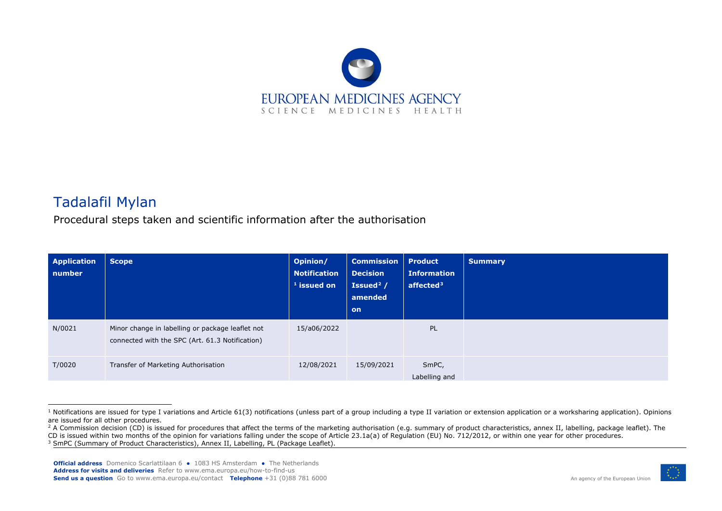<span id="page-0-2"></span><span id="page-0-1"></span><span id="page-0-0"></span>

## Tadalafil Mylan

Procedural steps taken and scientific information after the authorisation

| <b>Application</b><br>number | <b>Scope</b>                                                                                        | Opinion/<br><b>Notification</b><br>$1$ issued on | <b>Commission</b><br><b>Decision</b><br>Issued $2/$<br>amended<br><b>on</b> | <b>Product</b><br><b>Information</b><br>affected $3$ | <b>Summary</b> |
|------------------------------|-----------------------------------------------------------------------------------------------------|--------------------------------------------------|-----------------------------------------------------------------------------|------------------------------------------------------|----------------|
| N/0021                       | Minor change in labelling or package leaflet not<br>connected with the SPC (Art. 61.3 Notification) | 15/a06/2022                                      |                                                                             | PL                                                   |                |
| T/0020                       | Transfer of Marketing Authorisation                                                                 | 12/08/2021                                       | 15/09/2021                                                                  | SmPC,<br>Labelling and                               |                |



 $1$  Notifications are issued for type I variations and Article 61(3) notifications (unless part of a group including a type II variation or extension application or a worksharing application). Opinions are issued for all other procedures.

<sup>&</sup>lt;sup>2</sup> A Commission decision (CD) is issued for procedures that affect the terms of the marketing authorisation (e.g. summary of product characteristics, annex II, labelling, package leaflet). The CD is issued within two months of the opinion for variations falling under the scope of Article 23.1a(a) of Regulation (EU) No. 712/2012, or within one year for other procedures.

<sup>&</sup>lt;sup>3</sup> SmPC (Summary of Product Characteristics), Annex II, Labelling, PL (Package Leaflet).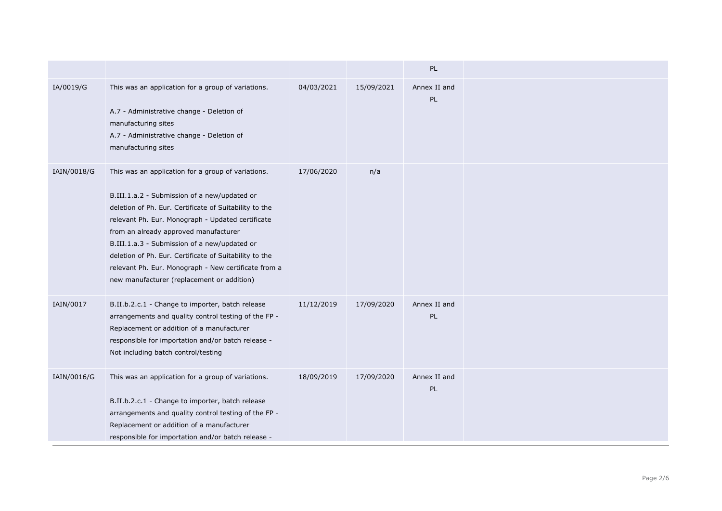|             |                                                                                                                                                                                                                                                                                                                                                                                                                                                                            |            |            | PL                        |  |
|-------------|----------------------------------------------------------------------------------------------------------------------------------------------------------------------------------------------------------------------------------------------------------------------------------------------------------------------------------------------------------------------------------------------------------------------------------------------------------------------------|------------|------------|---------------------------|--|
| IA/0019/G   | This was an application for a group of variations.<br>A.7 - Administrative change - Deletion of<br>manufacturing sites<br>A.7 - Administrative change - Deletion of<br>manufacturing sites                                                                                                                                                                                                                                                                                 | 04/03/2021 | 15/09/2021 | Annex II and<br>PL        |  |
| IAIN/0018/G | This was an application for a group of variations.<br>B.III.1.a.2 - Submission of a new/updated or<br>deletion of Ph. Eur. Certificate of Suitability to the<br>relevant Ph. Eur. Monograph - Updated certificate<br>from an already approved manufacturer<br>B.III.1.a.3 - Submission of a new/updated or<br>deletion of Ph. Eur. Certificate of Suitability to the<br>relevant Ph. Eur. Monograph - New certificate from a<br>new manufacturer (replacement or addition) | 17/06/2020 | n/a        |                           |  |
| IAIN/0017   | B.II.b.2.c.1 - Change to importer, batch release<br>arrangements and quality control testing of the FP -<br>Replacement or addition of a manufacturer<br>responsible for importation and/or batch release -<br>Not including batch control/testing                                                                                                                                                                                                                         | 11/12/2019 | 17/09/2020 | Annex II and<br>PL        |  |
| IAIN/0016/G | This was an application for a group of variations.<br>B.II.b.2.c.1 - Change to importer, batch release<br>arrangements and quality control testing of the FP -<br>Replacement or addition of a manufacturer<br>responsible for importation and/or batch release -                                                                                                                                                                                                          | 18/09/2019 | 17/09/2020 | Annex II and<br><b>PL</b> |  |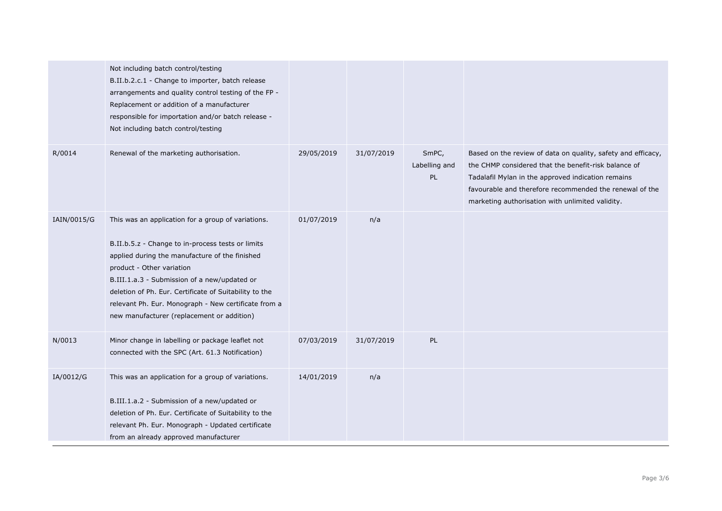|             | Not including batch control/testing<br>B.II.b.2.c.1 - Change to importer, batch release<br>arrangements and quality control testing of the FP -<br>Replacement or addition of a manufacturer<br>responsible for importation and/or batch release -<br>Not including batch control/testing                                                                                                              |            |            |                              |                                                                                                                                                                                                                                                                                           |
|-------------|--------------------------------------------------------------------------------------------------------------------------------------------------------------------------------------------------------------------------------------------------------------------------------------------------------------------------------------------------------------------------------------------------------|------------|------------|------------------------------|-------------------------------------------------------------------------------------------------------------------------------------------------------------------------------------------------------------------------------------------------------------------------------------------|
| R/0014      | Renewal of the marketing authorisation.                                                                                                                                                                                                                                                                                                                                                                | 29/05/2019 | 31/07/2019 | SmPC,<br>Labelling and<br>PL | Based on the review of data on quality, safety and efficacy,<br>the CHMP considered that the benefit-risk balance of<br>Tadalafil Mylan in the approved indication remains<br>favourable and therefore recommended the renewal of the<br>marketing authorisation with unlimited validity. |
| IAIN/0015/G | This was an application for a group of variations.<br>B.II.b.5.z - Change to in-process tests or limits<br>applied during the manufacture of the finished<br>product - Other variation<br>B.III.1.a.3 - Submission of a new/updated or<br>deletion of Ph. Eur. Certificate of Suitability to the<br>relevant Ph. Eur. Monograph - New certificate from a<br>new manufacturer (replacement or addition) | 01/07/2019 | n/a        |                              |                                                                                                                                                                                                                                                                                           |
| N/0013      | Minor change in labelling or package leaflet not<br>connected with the SPC (Art. 61.3 Notification)                                                                                                                                                                                                                                                                                                    | 07/03/2019 | 31/07/2019 | PL                           |                                                                                                                                                                                                                                                                                           |
| IA/0012/G   | This was an application for a group of variations.<br>B.III.1.a.2 - Submission of a new/updated or<br>deletion of Ph. Eur. Certificate of Suitability to the<br>relevant Ph. Eur. Monograph - Updated certificate<br>from an already approved manufacturer                                                                                                                                             | 14/01/2019 | n/a        |                              |                                                                                                                                                                                                                                                                                           |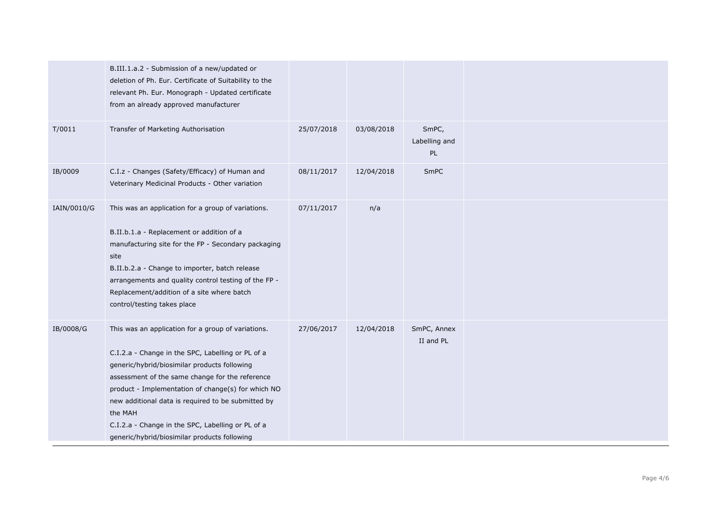|             | B.III.1.a.2 - Submission of a new/updated or<br>deletion of Ph. Eur. Certificate of Suitability to the<br>relevant Ph. Eur. Monograph - Updated certificate<br>from an already approved manufacturer                                                                                                                                                                                                                                   |            |            |                              |  |
|-------------|----------------------------------------------------------------------------------------------------------------------------------------------------------------------------------------------------------------------------------------------------------------------------------------------------------------------------------------------------------------------------------------------------------------------------------------|------------|------------|------------------------------|--|
| T/0011      | Transfer of Marketing Authorisation                                                                                                                                                                                                                                                                                                                                                                                                    | 25/07/2018 | 03/08/2018 | SmPC,<br>Labelling and<br>PL |  |
| IB/0009     | C.I.z - Changes (Safety/Efficacy) of Human and<br>Veterinary Medicinal Products - Other variation                                                                                                                                                                                                                                                                                                                                      | 08/11/2017 | 12/04/2018 | SmPC                         |  |
| IAIN/0010/G | This was an application for a group of variations.<br>B.II.b.1.a - Replacement or addition of a<br>manufacturing site for the FP - Secondary packaging<br>site<br>B.II.b.2.a - Change to importer, batch release<br>arrangements and quality control testing of the FP -<br>Replacement/addition of a site where batch<br>control/testing takes place                                                                                  | 07/11/2017 | n/a        |                              |  |
| IB/0008/G   | This was an application for a group of variations.<br>C.I.2.a - Change in the SPC, Labelling or PL of a<br>generic/hybrid/biosimilar products following<br>assessment of the same change for the reference<br>product - Implementation of change(s) for which NO<br>new additional data is required to be submitted by<br>the MAH<br>C.I.2.a - Change in the SPC, Labelling or PL of a<br>generic/hybrid/biosimilar products following | 27/06/2017 | 12/04/2018 | SmPC, Annex<br>II and PL     |  |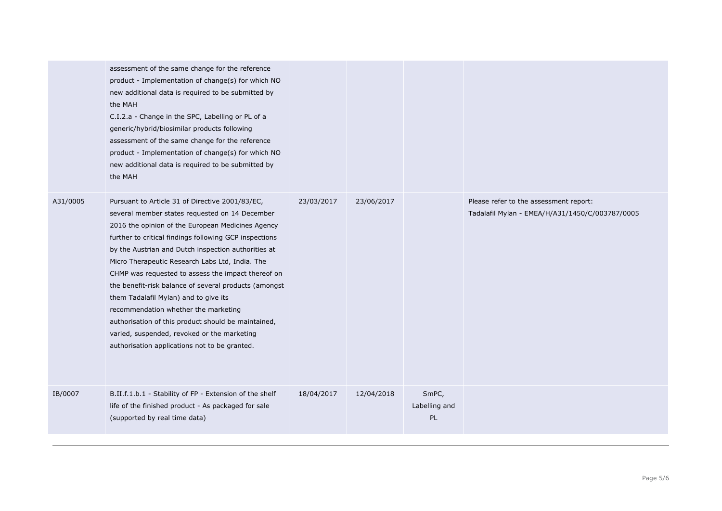|          | assessment of the same change for the reference<br>product - Implementation of change(s) for which NO<br>new additional data is required to be submitted by<br>the MAH<br>C.I.2.a - Change in the SPC, Labelling or PL of a<br>generic/hybrid/biosimilar products following<br>assessment of the same change for the reference<br>product - Implementation of change(s) for which NO<br>new additional data is required to be submitted by<br>the MAH                                                                                                                                                                                                                             |            |            |                              |                                                                                           |
|----------|-----------------------------------------------------------------------------------------------------------------------------------------------------------------------------------------------------------------------------------------------------------------------------------------------------------------------------------------------------------------------------------------------------------------------------------------------------------------------------------------------------------------------------------------------------------------------------------------------------------------------------------------------------------------------------------|------------|------------|------------------------------|-------------------------------------------------------------------------------------------|
| A31/0005 | Pursuant to Article 31 of Directive 2001/83/EC,<br>several member states requested on 14 December<br>2016 the opinion of the European Medicines Agency<br>further to critical findings following GCP inspections<br>by the Austrian and Dutch inspection authorities at<br>Micro Therapeutic Research Labs Ltd, India. The<br>CHMP was requested to assess the impact thereof on<br>the benefit-risk balance of several products (amongst<br>them Tadalafil Mylan) and to give its<br>recommendation whether the marketing<br>authorisation of this product should be maintained,<br>varied, suspended, revoked or the marketing<br>authorisation applications not to be granted. | 23/03/2017 | 23/06/2017 |                              | Please refer to the assessment report:<br>Tadalafil Mylan - EMEA/H/A31/1450/C/003787/0005 |
| IB/0007  | B.II.f.1.b.1 - Stability of FP - Extension of the shelf<br>life of the finished product - As packaged for sale<br>(supported by real time data)                                                                                                                                                                                                                                                                                                                                                                                                                                                                                                                                   | 18/04/2017 | 12/04/2018 | SmPC,<br>Labelling and<br>PL |                                                                                           |